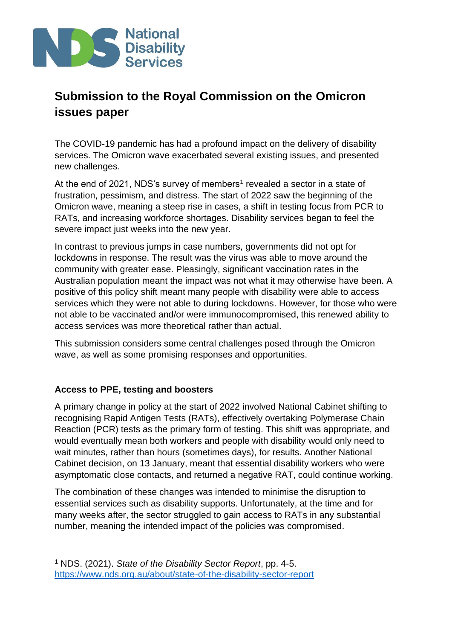

The COVID-19 pandemic has had a profound impact on the delivery of disability services. The Omicron wave exacerbated several existing issues, and presented new challenges.

At the end of 2021, NDS's survey of members<sup>1</sup> revealed a sector in a state of frustration, pessimism, and distress. The start of 2022 saw the beginning of the Omicron wave, meaning a steep rise in cases, a shift in testing focus from PCR to RATs, and increasing workforce shortages. Disability services began to feel the severe impact just weeks into the new year.

In contrast to previous jumps in case numbers, governments did not opt for lockdowns in response. The result was the virus was able to move around the community with greater ease. Pleasingly, significant vaccination rates in the Australian population meant the impact was not what it may otherwise have been. A positive of this policy shift meant many people with disability were able to access services which they were not able to during lockdowns. However, for those who were not able to be vaccinated and/or were immunocompromised, this renewed ability to access services was more theoretical rather than actual.

This submission considers some central challenges posed through the Omicron wave, as well as some promising responses and opportunities.

## **Access to PPE, testing and boosters**

A primary change in policy at the start of 2022 involved National Cabinet shifting to recognising Rapid Antigen Tests (RATs), effectively overtaking Polymerase Chain Reaction (PCR) tests as the primary form of testing. This shift was appropriate, and would eventually mean both workers and people with disability would only need to wait minutes, rather than hours (sometimes days), for results. Another National Cabinet decision, on 13 January, meant that essential disability workers who were asymptomatic close contacts, and returned a negative RAT, could continue working.

The combination of these changes was intended to minimise the disruption to essential services such as disability supports. Unfortunately, at the time and for many weeks after, the sector struggled to gain access to RATs in any substantial number, meaning the intended impact of the policies was compromised.

<sup>1</sup> NDS. (2021). *State of the Disability Sector Report*, pp. 4-5. <https://www.nds.org.au/about/state-of-the-disability-sector-report>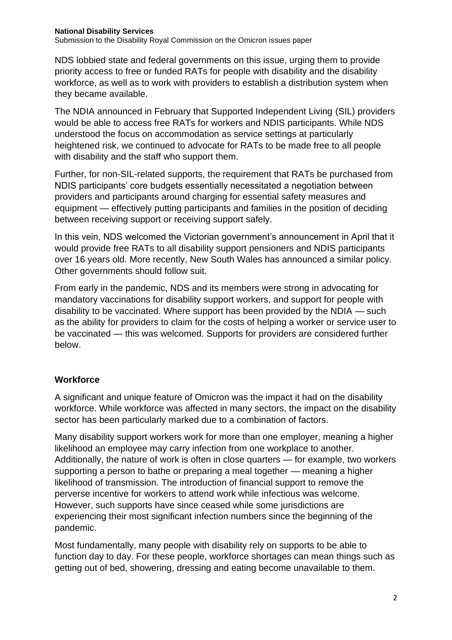NDS lobbied state and federal governments on this issue, urging them to provide priority access to free or funded RATs for people with disability and the disability workforce, as well as to work with providers to establish a distribution system when they became available.

The NDIA announced in February that Supported Independent Living (SIL) providers would be able to access free RATs for workers and NDIS participants. While NDS understood the focus on accommodation as service settings at particularly heightened risk, we continued to advocate for RATs to be made free to all people with disability and the staff who support them.

Further, for non-SIL-related supports, the requirement that RATs be purchased from NDIS participants' core budgets essentially necessitated a negotiation between providers and participants around charging for essential safety measures and equipment — effectively putting participants and families in the position of deciding between receiving support or receiving support safely.

In this vein, NDS welcomed the Victorian government's announcement in April that it would provide free RATs to all disability support pensioners and NDIS participants over 16 years old. More recently, New South Wales has announced a similar policy. Other governments should follow suit.

From early in the pandemic, NDS and its members were strong in advocating for mandatory vaccinations for disability support workers, and support for people with disability to be vaccinated. Where support has been provided by the NDIA — such as the ability for providers to claim for the costs of helping a worker or service user to be vaccinated — this was welcomed. Supports for providers are considered further below.

## **Workforce**

A significant and unique feature of Omicron was the impact it had on the disability workforce. While workforce was affected in many sectors, the impact on the disability sector has been particularly marked due to a combination of factors.

Many disability support workers work for more than one employer, meaning a higher likelihood an employee may carry infection from one workplace to another. Additionally, the nature of work is often in close quarters — for example, two workers supporting a person to bathe or preparing a meal together — meaning a higher likelihood of transmission. The introduction of financial support to remove the perverse incentive for workers to attend work while infectious was welcome. However, such supports have since ceased while some jurisdictions are experiencing their most significant infection numbers since the beginning of the pandemic.

Most fundamentally, many people with disability rely on supports to be able to function day to day. For these people, workforce shortages can mean things such as getting out of bed, showering, dressing and eating become unavailable to them.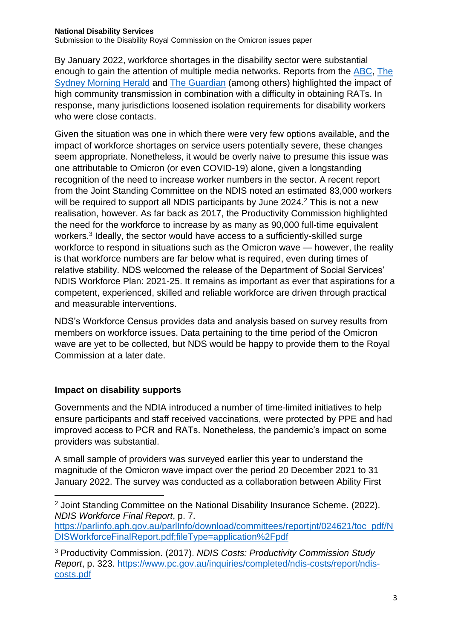#### **National Disability Services**

Submission to the Disability Royal Commission on the Omicron issues paper

By January 2022, workforce shortages in the disability sector were substantial enough to gain the attention of multiple media networks. Reports from the [ABC,](https://www.abc.net.au/radio/programs/am/covid-induced-staff-shortages-hit-disability-support-sector/13702856) [The](https://www.smh.com.au/national/disability-services-hit-by-covid-furloughs-as-cases-rise-in-sector-20220110-p59n30.html)  [Sydney Morning Herald](https://www.smh.com.au/national/disability-services-hit-by-covid-furloughs-as-cases-rise-in-sector-20220110-p59n30.html) and [The Guardian](https://www.theguardian.com/australia-news/2022/jan/12/covid-related-staff-shortages-in-australian-disability-sector-leaving-some-without-vital-services) (among others) highlighted the impact of high community transmission in combination with a difficulty in obtaining RATs. In response, many jurisdictions loosened isolation requirements for disability workers who were close contacts.

Given the situation was one in which there were very few options available, and the impact of workforce shortages on service users potentially severe, these changes seem appropriate. Nonetheless, it would be overly naive to presume this issue was one attributable to Omicron (or even COVID-19) alone, given a longstanding recognition of the need to increase worker numbers in the sector. A recent report from the Joint Standing Committee on the NDIS noted an estimated 83,000 workers will be required to support all NDIS participants by June 2024.<sup>2</sup> This is not a new realisation, however. As far back as 2017, the Productivity Commission highlighted the need for the workforce to increase by as many as 90,000 full-time equivalent workers.<sup>3</sup> Ideally, the sector would have access to a sufficiently-skilled surge workforce to respond in situations such as the Omicron wave — however, the reality is that workforce numbers are far below what is required, even during times of relative stability. NDS welcomed the release of the Department of Social Services' NDIS Workforce Plan: 2021-25. It remains as important as ever that aspirations for a competent, experienced, skilled and reliable workforce are driven through practical and measurable interventions.

NDS's Workforce Census provides data and analysis based on survey results from members on workforce issues. Data pertaining to the time period of the Omicron wave are yet to be collected, but NDS would be happy to provide them to the Royal Commission at a later date.

#### **Impact on disability supports**

Governments and the NDIA introduced a number of time-limited initiatives to help ensure participants and staff received vaccinations, were protected by PPE and had improved access to PCR and RATs. Nonetheless, the pandemic's impact on some providers was substantial.

A small sample of providers was surveyed earlier this year to understand the magnitude of the Omicron wave impact over the period 20 December 2021 to 31 January 2022. The survey was conducted as a collaboration between Ability First

<sup>2</sup> Joint Standing Committee on the National Disability Insurance Scheme. (2022). *NDIS Workforce Final Report*, p. 7.

[https://parlinfo.aph.gov.au/parlInfo/download/committees/reportjnt/024621/toc\\_pdf/N](https://parlinfo.aph.gov.au/parlInfo/download/committees/reportjnt/024621/toc_pdf/NDISWorkforceFinalReport.pdf;fileType=application%2Fpdf) [DISWorkforceFinalReport.pdf;fileType=application%2Fpdf](https://parlinfo.aph.gov.au/parlInfo/download/committees/reportjnt/024621/toc_pdf/NDISWorkforceFinalReport.pdf;fileType=application%2Fpdf)

<sup>3</sup> Productivity Commission. (2017). *NDIS Costs: Productivity Commission Study Report*, p. 323. [https://www.pc.gov.au/inquiries/completed/ndis-costs/report/ndis](https://www.pc.gov.au/inquiries/completed/ndis-costs/report/ndis-costs.pdf)[costs.pdf](https://www.pc.gov.au/inquiries/completed/ndis-costs/report/ndis-costs.pdf)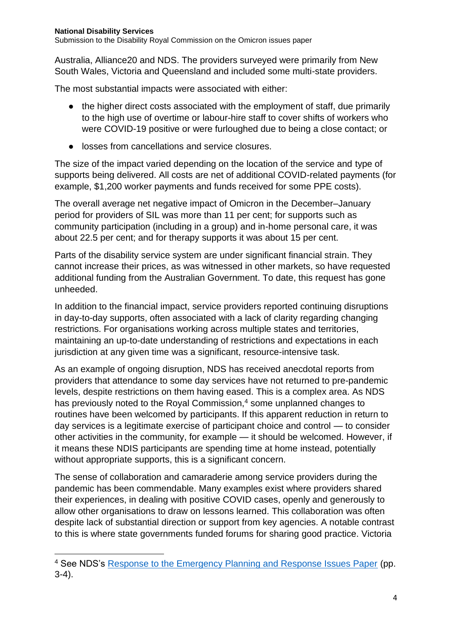Australia, Alliance20 and NDS. The providers surveyed were primarily from New South Wales, Victoria and Queensland and included some multi-state providers.

The most substantial impacts were associated with either:

- the higher direct costs associated with the employment of staff, due primarily to the high use of overtime or labour-hire staff to cover shifts of workers who were COVID-19 positive or were furloughed due to being a close contact; or
- losses from cancellations and service closures.

The size of the impact varied depending on the location of the service and type of supports being delivered. All costs are net of additional COVID-related payments (for example, \$1,200 worker payments and funds received for some PPE costs).

The overall average net negative impact of Omicron in the December–January period for providers of SIL was more than 11 per cent; for supports such as community participation (including in a group) and in-home personal care, it was about 22.5 per cent; and for therapy supports it was about 15 per cent.

Parts of the disability service system are under significant financial strain. They cannot increase their prices, as was witnessed in other markets, so have requested additional funding from the Australian Government. To date, this request has gone unheeded.

In addition to the financial impact, service providers reported continuing disruptions in day-to-day supports, often associated with a lack of clarity regarding changing restrictions. For organisations working across multiple states and territories, maintaining an up-to-date understanding of restrictions and expectations in each jurisdiction at any given time was a significant, resource-intensive task.

As an example of ongoing disruption, NDS has received anecdotal reports from providers that attendance to some day services have not returned to pre-pandemic levels, despite restrictions on them having eased. This is a complex area. As NDS has previously noted to the Royal Commission,<sup>4</sup> some unplanned changes to routines have been welcomed by participants. If this apparent reduction in return to day services is a legitimate exercise of participant choice and control — to consider other activities in the community, for example — it should be welcomed. However, if it means these NDIS participants are spending time at home instead, potentially without appropriate supports, this is a significant concern.

The sense of collaboration and camaraderie among service providers during the pandemic has been commendable. Many examples exist where providers shared their experiences, in dealing with positive COVID cases, openly and generously to allow other organisations to draw on lessons learned. This collaboration was often despite lack of substantial direction or support from key agencies. A notable contrast to this is where state governments funded forums for sharing good practice. Victoria

<sup>&</sup>lt;sup>4</sup> See NDS's [Response to the Emergency Planning and Response Issues Paper](https://www.nds.org.au/images/Policy/NDS%20Submission%20Emergency%20Planning%20and%20Response.pdf) (pp. 3-4).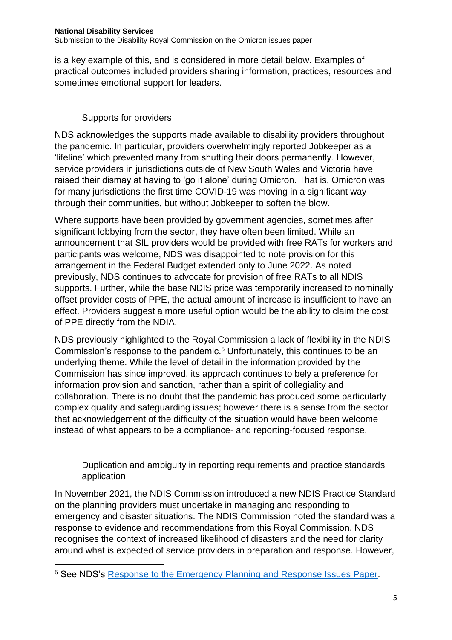is a key example of this, and is considered in more detail below. Examples of practical outcomes included providers sharing information, practices, resources and sometimes emotional support for leaders.

# Supports for providers

NDS acknowledges the supports made available to disability providers throughout the pandemic. In particular, providers overwhelmingly reported Jobkeeper as a 'lifeline' which prevented many from shutting their doors permanently. However, service providers in jurisdictions outside of New South Wales and Victoria have raised their dismay at having to 'go it alone' during Omicron. That is, Omicron was for many jurisdictions the first time COVID-19 was moving in a significant way through their communities, but without Jobkeeper to soften the blow.

Where supports have been provided by government agencies, sometimes after significant lobbying from the sector, they have often been limited. While an announcement that SIL providers would be provided with free RATs for workers and participants was welcome, NDS was disappointed to note provision for this arrangement in the Federal Budget extended only to June 2022. As noted previously, NDS continues to advocate for provision of free RATs to all NDIS supports. Further, while the base NDIS price was temporarily increased to nominally offset provider costs of PPE, the actual amount of increase is insufficient to have an effect. Providers suggest a more useful option would be the ability to claim the cost of PPE directly from the NDIA.

NDS previously highlighted to the Royal Commission a lack of flexibility in the NDIS Commission's response to the pandemic.<sup>5</sup> Unfortunately, this continues to be an underlying theme. While the level of detail in the information provided by the Commission has since improved, its approach continues to bely a preference for information provision and sanction, rather than a spirit of collegiality and collaboration. There is no doubt that the pandemic has produced some particularly complex quality and safeguarding issues; however there is a sense from the sector that acknowledgement of the difficulty of the situation would have been welcome instead of what appears to be a compliance- and reporting-focused response.

Duplication and ambiguity in reporting requirements and practice standards application

In November 2021, the NDIS Commission introduced a new NDIS Practice Standard on the planning providers must undertake in managing and responding to emergency and disaster situations. The NDIS Commission noted the standard was a response to evidence and recommendations from this Royal Commission. NDS recognises the context of increased likelihood of disasters and the need for clarity around what is expected of service providers in preparation and response. However,

<sup>&</sup>lt;sup>5</sup> See NDS's Response to the **Emergency Planning and Response Issues Paper**.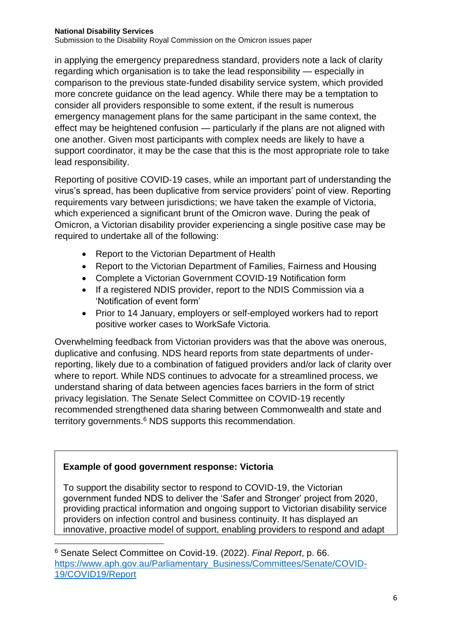in applying the emergency preparedness standard, providers note a lack of clarity regarding which organisation is to take the lead responsibility — especially in comparison to the previous state-funded disability service system, which provided more concrete guidance on the lead agency. While there may be a temptation to consider all providers responsible to some extent, if the result is numerous emergency management plans for the same participant in the same context, the effect may be heightened confusion — particularly if the plans are not aligned with one another. Given most participants with complex needs are likely to have a support coordinator, it may be the case that this is the most appropriate role to take lead responsibility.

Reporting of positive COVID-19 cases, while an important part of understanding the virus's spread, has been duplicative from service providers' point of view. Reporting requirements vary between jurisdictions; we have taken the example of Victoria, which experienced a significant brunt of the Omicron wave. During the peak of Omicron, a Victorian disability provider experiencing a single positive case may be required to undertake all of the following:

- Report to the Victorian Department of Health
- Report to the Victorian Department of Families, Fairness and Housing
- Complete a Victorian Government COVID-19 Notification form
- If a registered NDIS provider, report to the NDIS Commission via a 'Notification of event form'
- Prior to 14 January, employers or self-employed workers had to report positive worker cases to WorkSafe Victoria.

Overwhelming feedback from Victorian providers was that the above was onerous, duplicative and confusing. NDS heard reports from state departments of underreporting, likely due to a combination of fatigued providers and/or lack of clarity over where to report. While NDS continues to advocate for a streamlined process, we understand sharing of data between agencies faces barriers in the form of strict privacy legislation. The Senate Select Committee on COVID-19 recently recommended strengthened data sharing between Commonwealth and state and territory governments.<sup>6</sup> NDS supports this recommendation.

## **Example of good government response: Victoria**

To support the disability sector to respond to COVID-19, the Victorian government funded NDS to deliver the 'Safer and Stronger' project from 2020, providing practical information and ongoing support to Victorian disability service providers on infection control and business continuity. It has displayed an innovative, proactive model of support, enabling providers to respond and adapt

<sup>6</sup> Senate Select Committee on Covid-19. (2022). *Final Report*, p. 66. [https://www.aph.gov.au/Parliamentary\\_Business/Committees/Senate/COVID-](https://www.aph.gov.au/Parliamentary_Business/Committees/Senate/COVID-19/COVID19/Report)[19/COVID19/Report](https://www.aph.gov.au/Parliamentary_Business/Committees/Senate/COVID-19/COVID19/Report)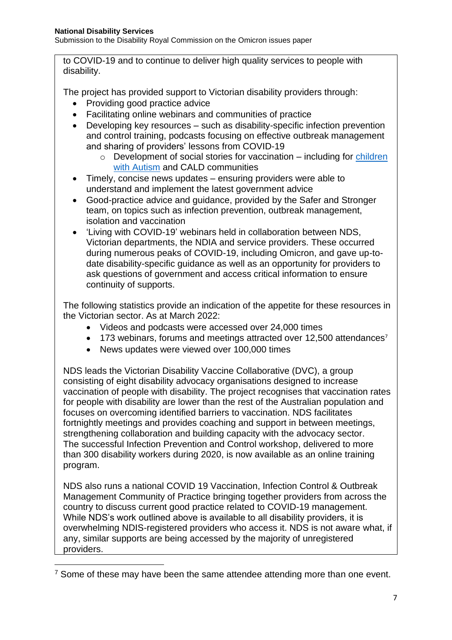to COVID-19 and to continue to deliver high quality services to people with disability.

The project has provided support to Victorian disability providers through:

- Providing good practice advice
- Facilitating online webinars and communities of practice
- Developing key resources such as disability-specific infection prevention and control training, podcasts focusing on effective outbreak management and sharing of providers' lessons from COVID-19
	- $\circ$  Development of social stories for vaccination including for children [with Autism](https://www.amaze.org.au/wp-content/uploads/2022/02/Going-to-a-vaccination-centre-to-get-my-COVID-19-vaccine-child.pdf) and CALD communities
- Timely, concise news updates ensuring providers were able to understand and implement the latest government advice
- Good-practice advice and guidance, provided by the Safer and Stronger team, on topics such as infection prevention, outbreak management, isolation and vaccination
- 'Living with COVID-19' webinars held in collaboration between NDS, Victorian departments, the NDIA and service providers. These occurred during numerous peaks of COVID-19, including Omicron, and gave up-todate disability-specific guidance as well as an opportunity for providers to ask questions of government and access critical information to ensure continuity of supports.

The following statistics provide an indication of the appetite for these resources in the Victorian sector. As at March 2022:

- Videos and podcasts were accessed over 24,000 times
- $\bullet$  173 webinars, forums and meetings attracted over 12,500 attendances<sup>7</sup>
- News updates were viewed over 100,000 times

NDS leads the Victorian Disability Vaccine Collaborative (DVC), a group consisting of eight disability advocacy organisations designed to increase vaccination of people with disability. The project recognises that vaccination rates for people with disability are lower than the rest of the Australian population and focuses on overcoming identified barriers to vaccination. NDS facilitates fortnightly meetings and provides coaching and support in between meetings, strengthening collaboration and building capacity with the advocacy sector. The successful Infection Prevention and Control workshop, delivered to more than 300 disability workers during 2020, is now available as an online training program.

NDS also runs a national COVID 19 Vaccination, Infection Control & Outbreak Management Community of Practice bringing together providers from across the country to discuss current good practice related to COVID-19 management. While NDS's work outlined above is available to all disability providers, it is overwhelming NDIS-registered providers who access it. NDS is not aware what, if any, similar supports are being accessed by the majority of unregistered providers.

 $<sup>7</sup>$  Some of these may have been the same attendee attending more than one event.</sup>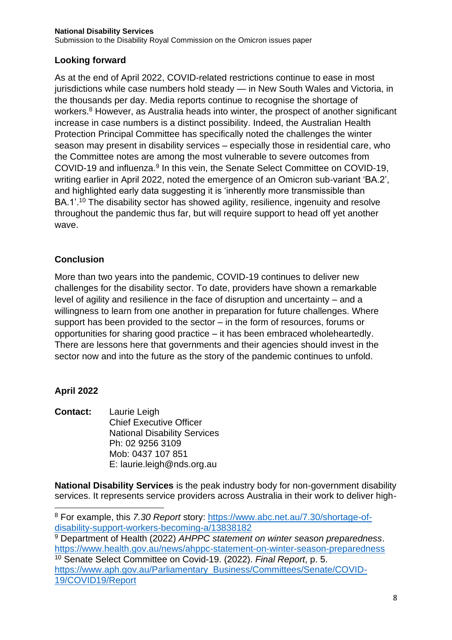# **Looking forward**

As at the end of April 2022, COVID-related restrictions continue to ease in most jurisdictions while case numbers hold steady — in New South Wales and Victoria, in the thousands per day. Media reports continue to recognise the shortage of workers.<sup>8</sup> However, as Australia heads into winter, the prospect of another significant increase in case numbers is a distinct possibility. Indeed, the Australian Health Protection Principal Committee has specifically noted the challenges the winter season may present in disability services – especially those in residential care, who the Committee notes are among the most vulnerable to severe outcomes from COVID-19 and influenza.<sup>9</sup> In this vein, the Senate Select Committee on COVID-19, writing earlier in April 2022, noted the emergence of an Omicron sub-variant 'BA.2', and highlighted early data suggesting it is 'inherently more transmissible than BA.1'.<sup>10</sup> The disability sector has showed agility, resilience, ingenuity and resolve throughout the pandemic thus far, but will require support to head off yet another wave.

# **Conclusion**

More than two years into the pandemic, COVID-19 continues to deliver new challenges for the disability sector. To date, providers have shown a remarkable level of agility and resilience in the face of disruption and uncertainty – and a willingness to learn from one another in preparation for future challenges. Where support has been provided to the sector – in the form of resources, forums or opportunities for sharing good practice – it has been embraced wholeheartedly. There are lessons here that governments and their agencies should invest in the sector now and into the future as the story of the pandemic continues to unfold.

## **April 2022**

**Contact:** Laurie Leigh Chief Executive Officer National Disability Services Ph: [02](tel:03%208341%204343) 9256 3109 Mob: [0437 107 851](tel:0437%20107%20851) E: laurie.leigh@nds.org.au

**National Disability Services** is the peak industry body for non-government disability services. It represents service providers across Australia in their work to deliver high-

<sup>9</sup> Department of Health (2022) *AHPPC statement on winter season preparedness*. <https://www.health.gov.au/news/ahppc-statement-on-winter-season-preparedness>

<sup>10</sup> Senate Select Committee on Covid-19. (2022). *Final Report*, p. 5. [https://www.aph.gov.au/Parliamentary\\_Business/Committees/Senate/COVID-](https://www.aph.gov.au/Parliamentary_Business/Committees/Senate/COVID-19/COVID19/Report)[19/COVID19/Report](https://www.aph.gov.au/Parliamentary_Business/Committees/Senate/COVID-19/COVID19/Report)

<sup>8</sup> For example, this *7.30 Report* story: [https://www.abc.net.au/7.30/shortage-of](https://www.abc.net.au/7.30/shortage-of-disability-support-workers-becoming-a/13838182)[disability-support-workers-becoming-a/13838182](https://www.abc.net.au/7.30/shortage-of-disability-support-workers-becoming-a/13838182)